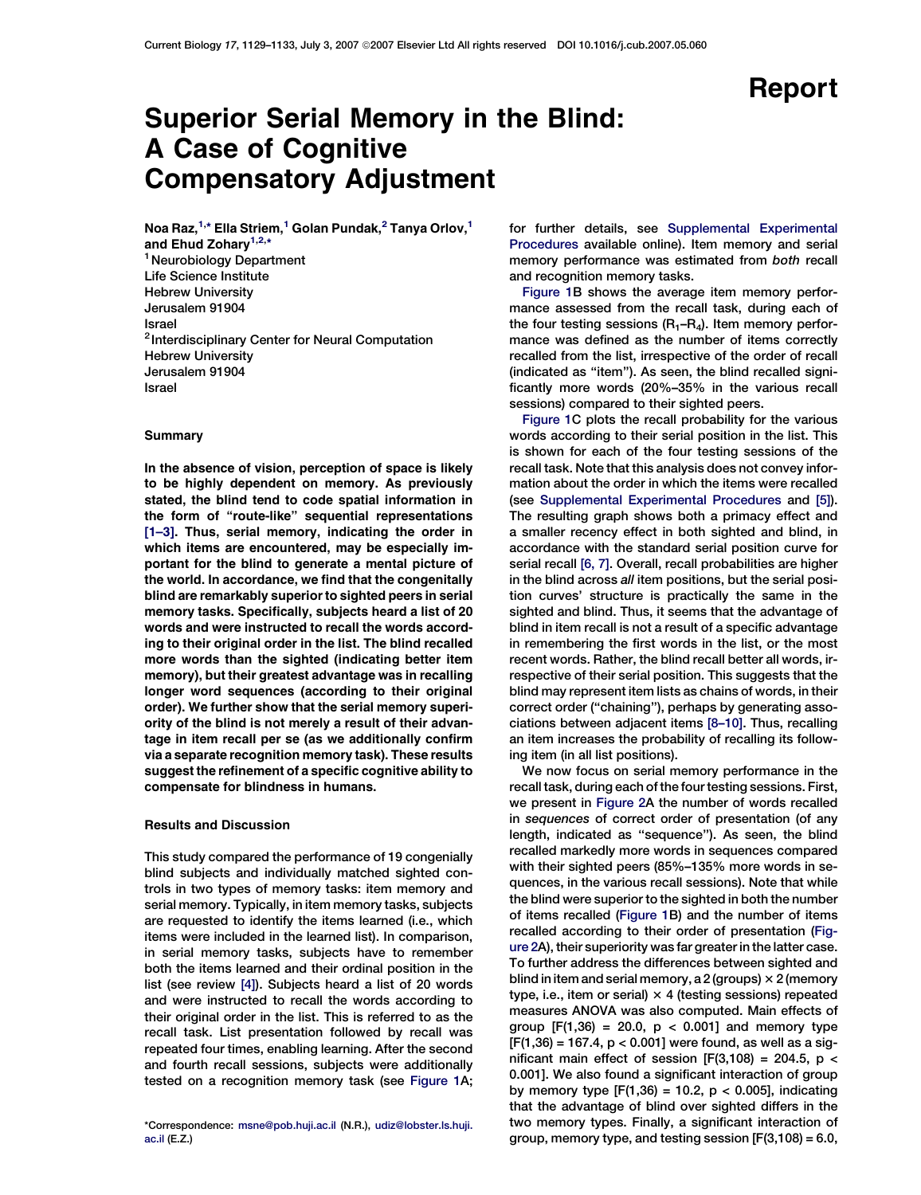# Superior Serial Memory in the Blind: A Case of Cognitive Compensatory Adjustment

Noa Raz, $^{1,\ast}$  Ella Striem, $^1$  Golan Pundak, $^2$  Tanya Orlov, $^1$ and Ehud Zohary<sup>1,2,</sup>\* <sup>1</sup> Neurobiology Department Life Science Institute Hebrew University Jerusalem 91904 Israel <sup>2</sup> Interdisciplinary Center for Neural Computation Hebrew University Jerusalem 91904 Israel

# **Summary**

In the absence of vision, perception of space is likely to be highly dependent on memory. As previously stated, the blind tend to code spatial information in the form of ''route-like'' sequential representations [\[1–3\]](#page-4-0). Thus, serial memory, indicating the order in which items are encountered, may be especially important for the blind to generate a mental picture of the world. In accordance, we find that the congenitally blind are remarkably superior to sighted peers in serial memory tasks. Specifically, subjects heard a list of 20 words and were instructed to recall the words according to their original order in the list. The blind recalled more words than the sighted (indicating better item memory), but their greatest advantage was in recalling longer word sequences (according to their original order). We further show that the serial memory superiority of the blind is not merely a result of their advantage in item recall per se (as we additionally confirm via a separate recognition memory task). These results suggest the refinement of a specific cognitive ability to compensate for blindness in humans.

## Results and Discussion

This study compared the performance of 19 congenially blind subjects and individually matched sighted controls in two types of memory tasks: item memory and serial memory. Typically, in item memory tasks, subjects are requested to identify the items learned (i.e., which items were included in the learned list). In comparison, in serial memory tasks, subjects have to remember both the items learned and their ordinal position in the list (see review [\[4\]](#page-4-0)). Subjects heard a list of 20 words and were instructed to recall the words according to their original order in the list. This is referred to as the recall task. List presentation followed by recall was repeated four times, enabling learning. After the second and fourth recall sessions, subjects were additionally tested on a recognition memory task (see [Figure 1A](#page-1-0);

\*Correspondence: [msne@pob.huji.ac.il](mailto:msne@pob.huji.ac.il) (N.R.), [udiz@lobster.ls.huji.](mailto:udiz@lobster.ls.huji.ac.il) ac.il [\(E.Z.\)](mailto:udiz@lobster.ls.huji.ac.il)

for further details, see [Supplemental Experimental](#page-4-0) [Procedures](#page-4-0) available online). Item memory and serial memory performance was estimated from both recall and recognition memory tasks.

[Figure 1](#page-1-0)B shows the average item memory performance assessed from the recall task, during each of the four testing sessions  $(R_1-R_4)$ . Item memory performance was defined as the number of items correctly recalled from the list, irrespective of the order of recall (indicated as ''item''). As seen, the blind recalled significantly more words (20%–35% in the various recall sessions) compared to their sighted peers.

[Figure 1C](#page-1-0) plots the recall probability for the various words according to their serial position in the list. This is shown for each of the four testing sessions of the recall task. Note that this analysis does not convey information about the order in which the items were recalled (see [Supplemental Experimental Procedures](#page-4-0) and [\[5\]](#page-4-0)). The resulting graph shows both a primacy effect and a smaller recency effect in both sighted and blind, in accordance with the standard serial position curve for serial recall [\[6, 7\]](#page-4-0). Overall, recall probabilities are higher in the blind across all item positions, but the serial position curves' structure is practically the same in the sighted and blind. Thus, it seems that the advantage of blind in item recall is not a result of a specific advantage in remembering the first words in the list, or the most recent words. Rather, the blind recall better all words, irrespective of their serial position. This suggests that the blind may represent item lists as chains of words, in their correct order (''chaining''), perhaps by generating associations between adjacent items [\[8–10\].](#page-4-0) Thus, recalling an item increases the probability of recalling its following item (in all list positions).

We now focus on serial memory performance in the recall task, during each of the four testing sessions. First, we present in [Figure 2A](#page-2-0) the number of words recalled in sequences of correct order of presentation (of any length, indicated as ''sequence''). As seen, the blind recalled markedly more words in sequences compared with their sighted peers (85%–135% more words in sequences, in the various recall sessions). Note that while the blind were superior to the sighted in both the number of items recalled ([Figure 1](#page-1-0)B) and the number of items recalled according to their order of presentation ([Fig](#page-2-0)[ure 2](#page-2-0)A), their superiority was far greater in the latter case. To further address the differences between sighted and blind in item and serial memory, a 2 (groups)  $\times$  2 (memory type, i.e., item or serial)  $\times$  4 (testing sessions) repeated measures ANOVA was also computed. Main effects of group  $[F(1,36) = 20.0, p < 0.001]$  and memory type  $[F(1,36) = 167.4, p < 0.001]$  were found, as well as a significant main effect of session  $[F(3,108) = 204.5, p <$ 0.001]. We also found a significant interaction of group by memory type  $[F(1,36) = 10.2, p < 0.005]$ , indicating that the advantage of blind over sighted differs in the two memory types. Finally, a significant interaction of group, memory type, and testing session  $[F(3,108) = 6.0,$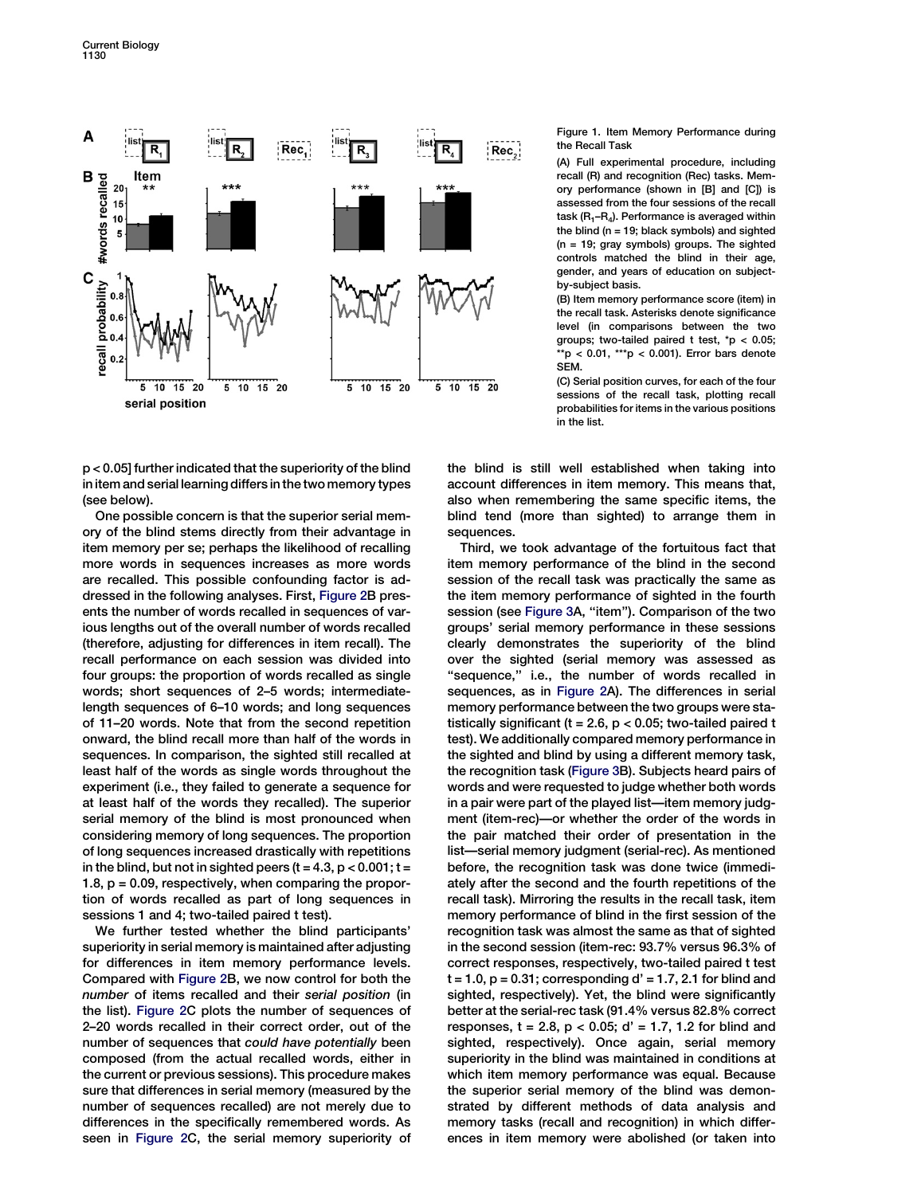<span id="page-1-0"></span>

p < 0.05] further indicated that the superiority of the blind in item and serial learning differs in the two memory types (see below).

One possible concern is that the superior serial memory of the blind stems directly from their advantage in item memory per se; perhaps the likelihood of recalling more words in sequences increases as more words are recalled. This possible confounding factor is addressed in the following analyses. First, [Figure 2](#page-2-0)B presents the number of words recalled in sequences of various lengths out of the overall number of words recalled (therefore, adjusting for differences in item recall). The recall performance on each session was divided into four groups: the proportion of words recalled as single words; short sequences of 2–5 words; intermediatelength sequences of 6–10 words; and long sequences of 11–20 words. Note that from the second repetition onward, the blind recall more than half of the words in sequences. In comparison, the sighted still recalled at least half of the words as single words throughout the experiment (i.e., they failed to generate a sequence for at least half of the words they recalled). The superior serial memory of the blind is most pronounced when considering memory of long sequences. The proportion of long sequences increased drastically with repetitions in the blind, but not in sighted peers  $(t = 4.3, p < 0.001; t =$ 1.8,  $p = 0.09$ , respectively, when comparing the proportion of words recalled as part of long sequences in sessions 1 and 4; two-tailed paired t test).

We further tested whether the blind participants' superiority in serial memory is maintained after adjusting for differences in item memory performance levels. Compared with [Figure 2B](#page-2-0), we now control for both the number of items recalled and their serial position (in the list). [Figure 2](#page-2-0)C plots the number of sequences of 2–20 words recalled in their correct order, out of the number of sequences that could have potentially been composed (from the actual recalled words, either in the current or previous sessions). This procedure makes sure that differences in serial memory (measured by the number of sequences recalled) are not merely due to differences in the specifically remembered words. As seen in [Figure 2C](#page-2-0), the serial memory superiority of Figure 1. Item Memory Performance during the Recall Task

(A) Full experimental procedure, including recall (R) and recognition (Rec) tasks. Memory performance (shown in [B] and [C]) is assessed from the four sessions of the recall task  $(R_1-R_4)$ . Performance is averaged within the blind ( $n = 19$ ; black symbols) and sighted (n = 19; gray symbols) groups. The sighted controls matched the blind in their age, gender, and years of education on subjectby-subject basis.

(B) Item memory performance score (item) in the recall task. Asterisks denote significance level (in comparisons between the two groups; two-tailed paired t test, \*p < 0.05;  $*$ p < 0.01,  $**$ p < 0.001). Error bars denote SEM.

(C) Serial position curves, for each of the four sessions of the recall task, plotting recall probabilities for items in the various positions in the list.

the blind is still well established when taking into account differences in item memory. This means that, also when remembering the same specific items, the blind tend (more than sighted) to arrange them in sequences.

Third, we took advantage of the fortuitous fact that item memory performance of the blind in the second session of the recall task was practically the same as the item memory performance of sighted in the fourth session (see [Figure 3A](#page-3-0), ''item''). Comparison of the two groups' serial memory performance in these sessions clearly demonstrates the superiority of the blind over the sighted (serial memory was assessed as "sequence," i.e., the number of words recalled in sequences, as in [Figure 2A](#page-2-0)). The differences in serial memory performance between the two groups were statistically significant ( $t = 2.6$ ,  $p < 0.05$ ; two-tailed paired t test). We additionally compared memory performance in the sighted and blind by using a different memory task, the recognition task [\(Figure 3B](#page-3-0)). Subjects heard pairs of words and were requested to judge whether both words in a pair were part of the played list—item memory judgment (item-rec)—or whether the order of the words in the pair matched their order of presentation in the list—serial memory judgment (serial-rec). As mentioned before, the recognition task was done twice (immediately after the second and the fourth repetitions of the recall task). Mirroring the results in the recall task, item memory performance of blind in the first session of the recognition task was almost the same as that of sighted in the second session (item-rec: 93.7% versus 96.3% of correct responses, respectively, two-tailed paired t test  $t = 1.0$ ,  $p = 0.31$ ; corresponding  $d' = 1.7$ , 2.1 for blind and sighted, respectively). Yet, the blind were significantly better at the serial-rec task (91.4% versus 82.8% correct responses,  $t = 2.8$ ,  $p < 0.05$ ;  $d' = 1.7$ , 1.2 for blind and sighted, respectively). Once again, serial memory superiority in the blind was maintained in conditions at which item memory performance was equal. Because the superior serial memory of the blind was demonstrated by different methods of data analysis and memory tasks (recall and recognition) in which differences in item memory were abolished (or taken into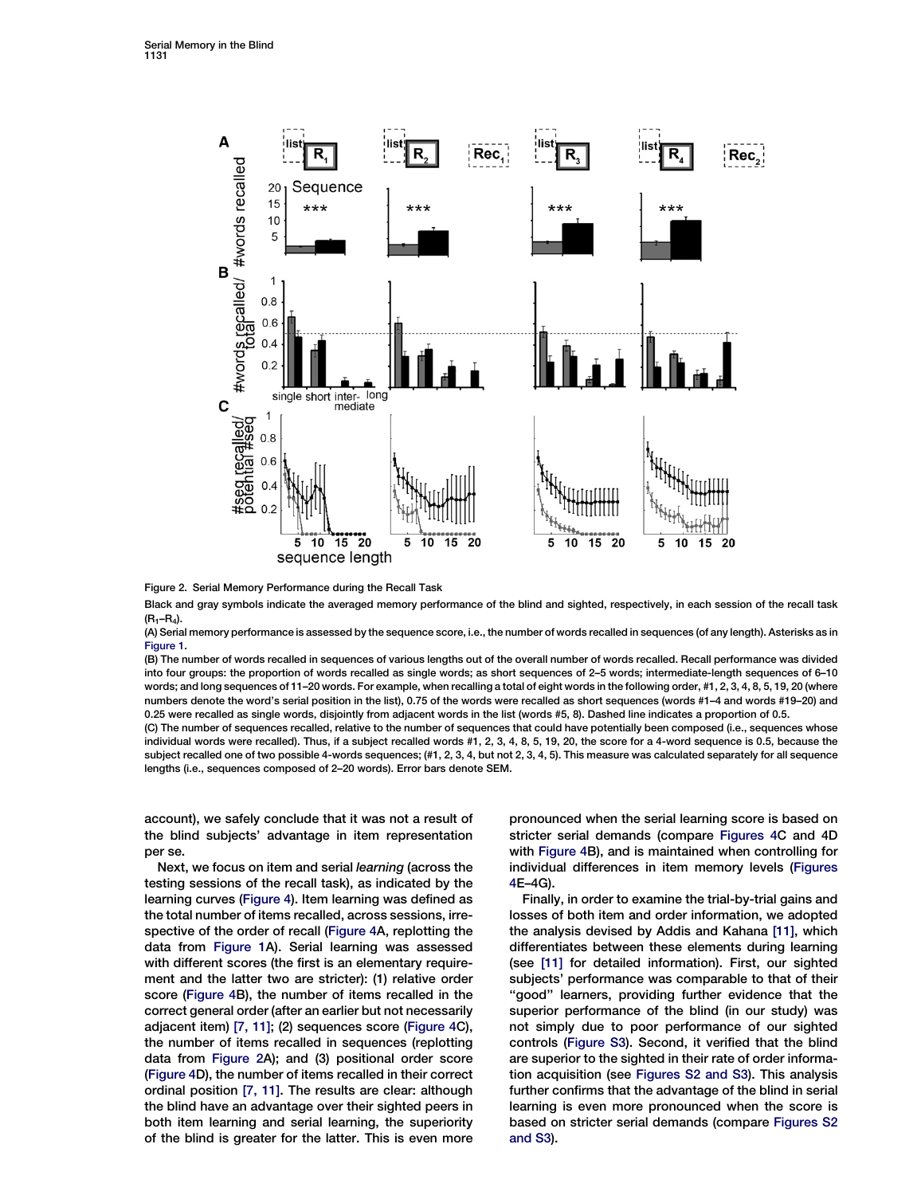<span id="page-2-0"></span>

Figure 2. Serial Memory Performance during the Recall Task

Black and gray symbols indicate the averaged memory performance of the blind and sighted, respectively, in each session of the recall task  $(R_1-R_4)$ .

(A) Serial memory performance is assessed by the sequence score, i.e., the number of words recalled in sequences (of any length). Asterisks as in [Figure 1.](#page-1-0)

(B) The number of words recalled in sequences of various lengths out of the overall number of words recalled. Recall performance was divided into four groups: the proportion of words recalled as single words; as short sequences of 2–5 words; intermediate-length sequences of 6–10 words; and long sequences of 11–20 words. For example, when recalling a total of eight words in the following order, #1, 2, 3, 4, 8, 5, 19, 20 (where numbers denote the word's serial position in the list), 0.75 of the words were recalled as short sequences (words #1–4 and words #19–20) and 0.25 were recalled as single words, disjointly from adjacent words in the list (words #5, 8). Dashed line indicates a proportion of 0.5.

(C) The number of sequences recalled, relative to the number of sequences that could have potentially been composed (i.e., sequences whose individual words were recalled). Thus, if a subject recalled words #1, 2, 3, 4, 8, 5, 19, 20, the score for a 4-word sequence is 0.5, because the subject recalled one of two possible 4-words sequences; (#1, 2, 3, 4, but not 2, 3, 4, 5). This measure was calculated separately for all sequence lengths (i.e., sequences composed of 2–20 words). Error bars denote SEM.

account), we safely conclude that it was not a result of the blind subjects' advantage in item representation per se.

Next, we focus on item and serial learning (across the testing sessions of the recall task), as indicated by the learning curves [\(Figure 4\)](#page-4-0). Item learning was defined as the total number of items recalled, across sessions, irrespective of the order of recall [\(Figure 4A](#page-4-0), replotting the data from [Figure 1](#page-1-0)A). Serial learning was assessed with different scores (the first is an elementary requirement and the latter two are stricter): (1) relative order score [\(Figure 4B](#page-4-0)), the number of items recalled in the correct general order (after an earlier but not necessarily adjacent item) [\[7, 11\]](#page-4-0); (2) sequences score ([Figure 4C](#page-4-0)), the number of items recalled in sequences (replotting data from Figure 2A); and (3) positional order score [\(Figure 4](#page-4-0)D), the number of items recalled in their correct ordinal position [\[7, 11\]](#page-4-0). The results are clear: although the blind have an advantage over their sighted peers in both item learning and serial learning, the superiority of the blind is greater for the latter. This is even more pronounced when the serial learning score is based on stricter serial demands (compare [Figures 4](#page-4-0)C and 4D with [Figure 4B](#page-4-0)), and is maintained when controlling for individual differences in item memory levels ([Figures](#page-4-0) [4](#page-4-0)E–4G).

Finally, in order to examine the trial-by-trial gains and losses of both item and order information, we adopted the analysis devised by Addis and Kahana [\[11\]](#page-4-0), which differentiates between these elements during learning (see [\[11\]](#page-4-0) for detailed information). First, our sighted subjects' performance was comparable to that of their "good" learners, providing further evidence that the superior performance of the blind (in our study) was not simply due to poor performance of our sighted controls ([Figure S3\)](#page-4-0). Second, it verified that the blind are superior to the sighted in their rate of order information acquisition (see [Figures S2 and S3](#page-4-0)). This analysis further confirms that the advantage of the blind in serial learning is even more pronounced when the score is based on stricter serial demands (compare [Figures S2](#page-4-0) [and S3](#page-4-0)).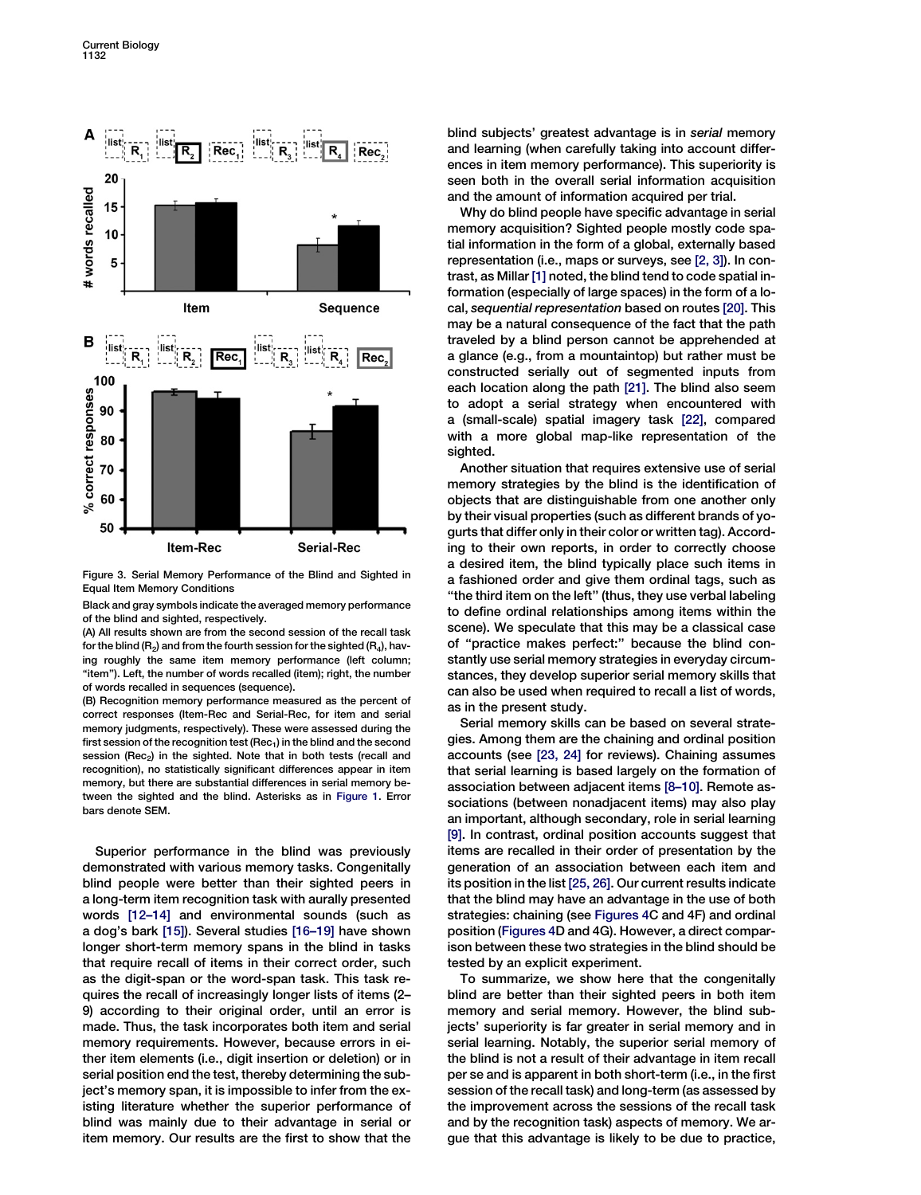<span id="page-3-0"></span>

Figure 3. Serial Memory Performance of the Blind and Sighted in Equal Item Memory Conditions

Black and gray symbols indicate the averaged memory performance of the blind and sighted, respectively.

(A) All results shown are from the second session of the recall task for the blind ( $R_2$ ) and from the fourth session for the sighted ( $R_4$ ), having roughly the same item memory performance (left column; "item"). Left, the number of words recalled (item); right, the number of words recalled in sequences (sequence).

(B) Recognition memory performance measured as the percent of correct responses (Item-Rec and Serial-Rec, for item and serial memory judgments, respectively). These were assessed during the first session of the recognition test (Rec<sub>1</sub>) in the blind and the second session (Rec<sub>2</sub>) in the sighted. Note that in both tests (recall and recognition), no statistically significant differences appear in item memory, but there are substantial differences in serial memory between the sighted and the blind. Asterisks as in [Figure 1.](#page-1-0) Error bars denote SEM.

Superior performance in the blind was previously demonstrated with various memory tasks. Congenitally blind people were better than their sighted peers in a long-term item recognition task with aurally presented words [\[12–14\]](#page-4-0) and environmental sounds (such as a dog's bark [\[15\]\)](#page-4-0). Several studies [\[16–19\]](#page-4-0) have shown longer short-term memory spans in the blind in tasks that require recall of items in their correct order, such as the digit-span or the word-span task. This task requires the recall of increasingly longer lists of items (2– 9) according to their original order, until an error is made. Thus, the task incorporates both item and serial memory requirements. However, because errors in either item elements (i.e., digit insertion or deletion) or in serial position end the test, thereby determining the subject's memory span, it is impossible to infer from the existing literature whether the superior performance of blind was mainly due to their advantage in serial or item memory. Our results are the first to show that the

blind subjects' greatest advantage is in serial memory and learning (when carefully taking into account differences in item memory performance). This superiority is seen both in the overall serial information acquisition and the amount of information acquired per trial.

Why do blind people have specific advantage in serial memory acquisition? Sighted people mostly code spatial information in the form of a global, externally based representation (i.e., maps or surveys, see [\[2, 3\]](#page-4-0)). In contrast, as Millar [\[1\]](#page-4-0) noted, the blind tend to code spatial information (especially of large spaces) in the form of a local, sequential representation based on routes [\[20\].](#page-4-0) This may be a natural consequence of the fact that the path traveled by a blind person cannot be apprehended at a glance (e.g., from a mountaintop) but rather must be constructed serially out of segmented inputs from each location along the path [\[21\]](#page-4-0). The blind also seem to adopt a serial strategy when encountered with a (small-scale) spatial imagery task [\[22\],](#page-4-0) compared with a more global map-like representation of the sighted.

Another situation that requires extensive use of serial memory strategies by the blind is the identification of objects that are distinguishable from one another only by their visual properties (such as different brands of yogurts that differ only in their color or written tag). According to their own reports, in order to correctly choose a desired item, the blind typically place such items in a fashioned order and give them ordinal tags, such as "the third item on the left" (thus, they use verbal labeling to define ordinal relationships among items within the scene). We speculate that this may be a classical case of ''practice makes perfect:'' because the blind constantly use serial memory strategies in everyday circumstances, they develop superior serial memory skills that can also be used when required to recall a list of words, as in the present study.

Serial memory skills can be based on several strategies. Among them are the chaining and ordinal position accounts (see [\[23, 24\]](#page-4-0) for reviews). Chaining assumes that serial learning is based largely on the formation of association between adjacent items [\[8–10\]](#page-4-0). Remote associations (between nonadjacent items) may also play an important, although secondary, role in serial learning [\[9\].](#page-4-0) In contrast, ordinal position accounts suggest that items are recalled in their order of presentation by the generation of an association between each item and its position in the list [\[25, 26\]](#page-4-0). Our current results indicate that the blind may have an advantage in the use of both strategies: chaining (see [Figures 4](#page-4-0)C and 4F) and ordinal position ([Figures 4](#page-4-0)D and 4G). However, a direct comparison between these two strategies in the blind should be tested by an explicit experiment.

To summarize, we show here that the congenitally blind are better than their sighted peers in both item memory and serial memory. However, the blind subjects' superiority is far greater in serial memory and in serial learning. Notably, the superior serial memory of the blind is not a result of their advantage in item recall per se and is apparent in both short-term (i.e., in the first session of the recall task) and long-term (as assessed by the improvement across the sessions of the recall task and by the recognition task) aspects of memory. We argue that this advantage is likely to be due to practice,